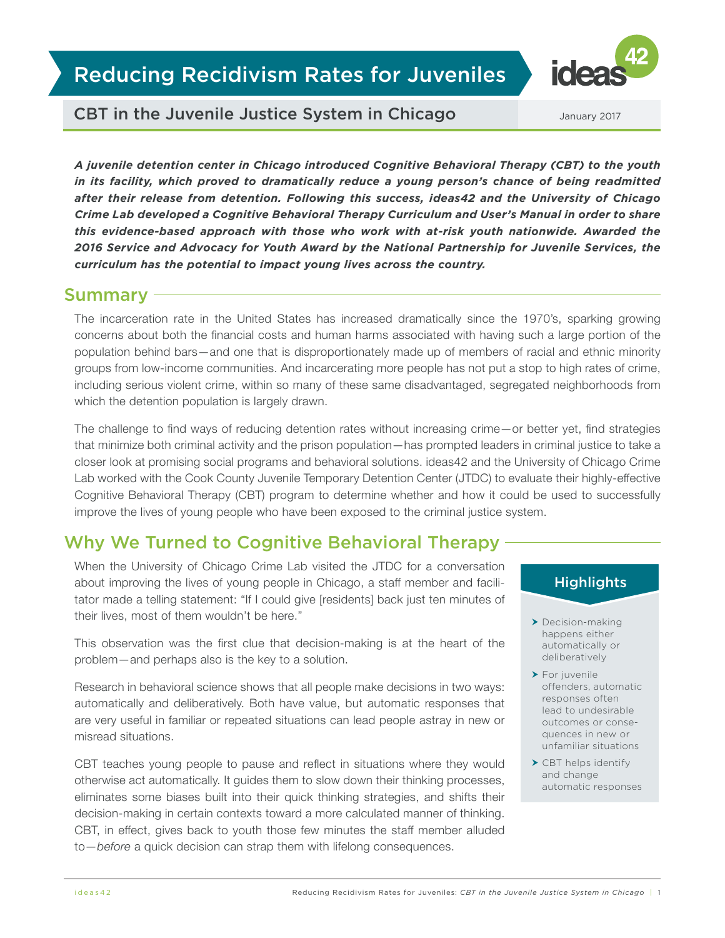# Reducing Recidivism Rates for Juveniles



CBT in the Juvenile Justice System in Chicago January 2017

*A juvenile detention center in Chicago introduced Cognitive Behavioral Therapy (CBT) to the youth*  in its facility, which proved to dramatically reduce a young person's chance of being readmitted *after their release from detention. Following this success, ideas42 and the University of Chicago Crime Lab developed a Cognitive Behavioral Therapy Curriculum and User's Manual in order to share this evidence-based approach with those who work with at-risk youth nationwide. Awarded the 2016 Service and Advocacy for Youth Award by the National Partnership for Juvenile Services, the curriculum has the potential to impact young lives across the country.*

### Summary

The incarceration rate in the United States has increased dramatically since the 1970's, sparking growing concerns about both the financial costs and human harms associated with having such a large portion of the population behind bars—and one that is disproportionately made up of members of racial and ethnic minority groups from low-income communities. And incarcerating more people has not put a stop to high rates of crime, including serious violent crime, within so many of these same disadvantaged, segregated neighborhoods from which the detention population is largely drawn.

The challenge to find ways of reducing detention rates without increasing crime—or better yet, find strategies that minimize both criminal activity and the prison population—has prompted leaders in criminal justice to take a closer look at promising social programs and behavioral solutions. ideas42 and the University of Chicago Crime Lab worked with the Cook County Juvenile Temporary Detention Center (JTDC) to evaluate their highly-effective Cognitive Behavioral Therapy (CBT) program to determine whether and how it could be used to successfully improve the lives of young people who have been exposed to the criminal justice system.

### Why We Turned to Cognitive Behavioral Therapy

When the University of Chicago Crime Lab visited the JTDC for a conversation about improving the lives of young people in Chicago, a staff member and facilitator made a telling statement: "If I could give [residents] back just ten minutes of their lives, most of them wouldn't be here."

This observation was the first clue that decision-making is at the heart of the problem—and perhaps also is the key to a solution.

Research in behavioral science shows that all people make decisions in two ways: automatically and deliberatively. Both have value, but automatic responses that are very useful in familiar or repeated situations can lead people astray in new or misread situations.

CBT teaches young people to pause and reflect in situations where they would otherwise act automatically. It guides them to slow down their thinking processes, eliminates some biases built into their quick thinking strategies, and shifts their decision-making in certain contexts toward a more calculated manner of thinking. CBT, in effect, gives back to youth those few minutes the staff member alluded to—*before* a quick decision can strap them with lifelong consequences.

#### **Highlights**

- ▶ Decision-making happens either automatically or deliberatively
- ▶ For juvenile offenders, automatic responses often lead to undesirable outcomes or consequences in new or unfamiliar situations
- > CBT helps identify and change automatic responses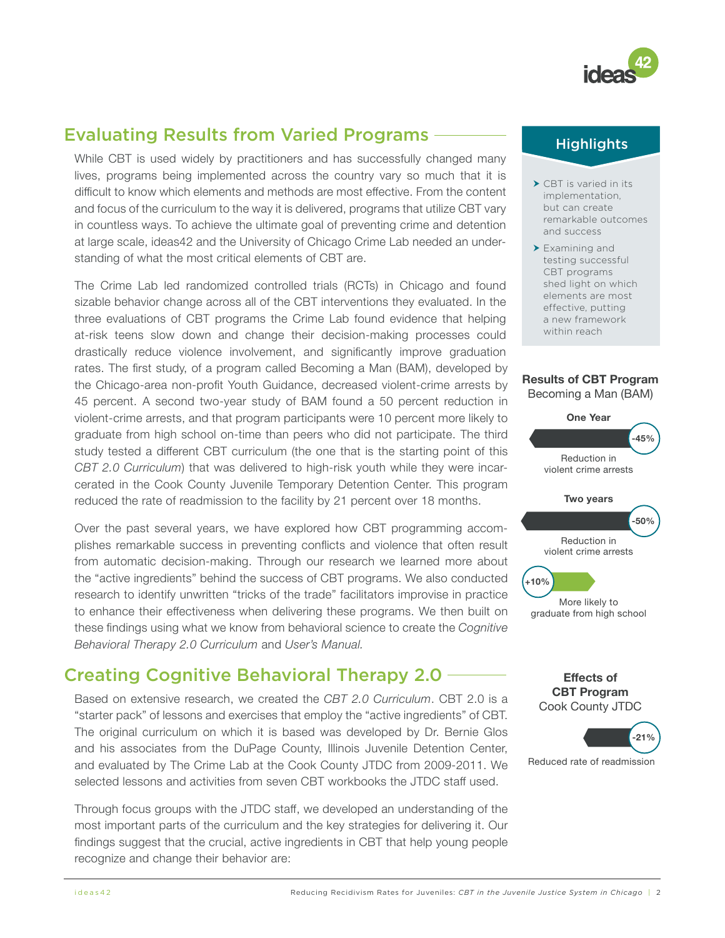

### Evaluating Results from Varied Programs

While CBT is used widely by practitioners and has successfully changed many lives, programs being implemented across the country vary so much that it is difficult to know which elements and methods are most effective. From the content and focus of the curriculum to the way it is delivered, programs that utilize CBT vary in countless ways. To achieve the ultimate goal of preventing crime and detention at large scale, ideas42 and the University of Chicago Crime Lab needed an understanding of what the most critical elements of CBT are.

The Crime Lab led randomized controlled trials (RCTs) in Chicago and found sizable behavior change across all of the CBT interventions they evaluated. In the three evaluations of CBT programs the Crime Lab found evidence that helping at-risk teens slow down and change their decision-making processes could drastically reduce violence involvement, and significantly improve graduation rates. The first study, of a program called Becoming a Man (BAM), developed by the Chicago-area non-profit Youth Guidance, decreased violent-crime arrests by 45 percent. A second two-year study of BAM found a 50 percent reduction in violent-crime arrests, and that program participants were 10 percent more likely to graduate from high school on-time than peers who did not participate. The third study tested a different CBT curriculum (the one that is the starting point of this *CBT 2.0 Curriculum*) that was delivered to high-risk youth while they were incarcerated in the Cook County Juvenile Temporary Detention Center. This program reduced the rate of readmission to the facility by 21 percent over 18 months.

Over the past several years, we have explored how CBT programming accomplishes remarkable success in preventing conflicts and violence that often result from automatic decision-making. Through our research we learned more about the "active ingredients" behind the success of CBT programs. We also conducted research to identify unwritten "tricks of the trade" facilitators improvise in practice to enhance their effectiveness when delivering these programs. We then built on these findings using what we know from behavioral science to create the *Cognitive Behavioral Therapy 2.0 Curriculum* and *User's Manual.*

### Creating Cognitive Behavioral Therapy 2.0

Based on extensive research, we created the *CBT 2.0 Curriculum*. CBT 2.0 is a "starter pack" of lessons and exercises that employ the "active ingredients" of CBT. The original curriculum on which it is based was developed by Dr. Bernie Glos and his associates from the DuPage County, Illinois Juvenile Detention Center, and evaluated by The Crime Lab at the Cook County JTDC from 2009-2011. We selected lessons and activities from seven CBT workbooks the JTDC staff used.

Through focus groups with the JTDC staff, we developed an understanding of the most important parts of the curriculum and the key strategies for delivering it. Our findings suggest that the crucial, active ingredients in CBT that help young people recognize and change their behavior are:

#### **Highlights**

- CBT is varied in its implementation, but can create remarkable outcomes and success
- Examining and testing successful CBT programs shed light on which elements are most effective, putting a new framework within reach

#### **Results of CBT Program** Becoming a Man (BAM)



**Effects of CBT Program** Cook County JTDC



Reduced rate of readmission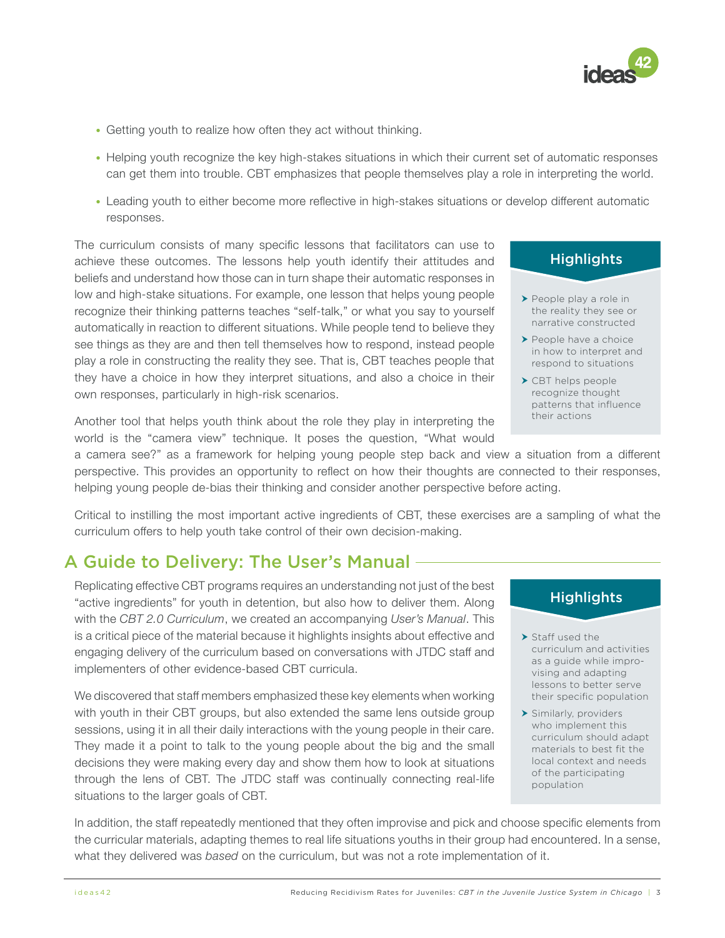

- Getting youth to realize how often they act without thinking.
- Helping youth recognize the key high-stakes situations in which their current set of automatic responses can get them into trouble. CBT emphasizes that people themselves play a role in interpreting the world.
- Leading youth to either become more reflective in high-stakes situations or develop different automatic responses.

The curriculum consists of many specific lessons that facilitators can use to achieve these outcomes. The lessons help youth identify their attitudes and beliefs and understand how those can in turn shape their automatic responses in low and high-stake situations. For example, one lesson that helps young people recognize their thinking patterns teaches "self-talk," or what you say to yourself automatically in reaction to different situations. While people tend to believe they see things as they are and then tell themselves how to respond, instead people play a role in constructing the reality they see. That is, CBT teaches people that they have a choice in how they interpret situations, and also a choice in their own responses, particularly in high-risk scenarios.

Another tool that helps youth think about the role they play in interpreting the world is the "camera view" technique. It poses the question, "What would

#### **Highlights**

- People play a role in the reality they see or narrative constructed
- ▶ People have a choice in how to interpret and respond to situations
- ▶ CBT helps people recognize thought patterns that influence their actions

a camera see?" as a framework for helping young people step back and view a situation from a different perspective. This provides an opportunity to reflect on how their thoughts are connected to their responses, helping young people de-bias their thinking and consider another perspective before acting.

Critical to instilling the most important active ingredients of CBT, these exercises are a sampling of what the curriculum offers to help youth take control of their own decision-making.

### A Guide to Delivery: The User's Manual

Replicating effective CBT programs requires an understanding not just of the best "active ingredients" for youth in detention, but also how to deliver them. Along with the *CBT 2.0 Curriculum*, we created an accompanying *User's Manual*. This is a critical piece of the material because it highlights insights about effective and engaging delivery of the curriculum based on conversations with JTDC staff and implementers of other evidence-based CBT curricula.

We discovered that staff members emphasized these key elements when working with youth in their CBT groups, but also extended the same lens outside group sessions, using it in all their daily interactions with the young people in their care. They made it a point to talk to the young people about the big and the small decisions they were making every day and show them how to look at situations through the lens of CBT. The JTDC staff was continually connecting real-life situations to the larger goals of CBT.

In addition, the staff repeatedly mentioned that they often improvise and pick and choose specific elements from the curricular materials, adapting themes to real life situations youths in their group had encountered. In a sense, what they delivered was *based* on the curriculum, but was not a rote implementation of it.

#### **Highlights**

- > Staff used the curriculum and activities as a guide while improvising and adapting lessons to better serve their specific population
- Similarly, providers who implement this curriculum should adapt materials to best fit the local context and needs of the participating population